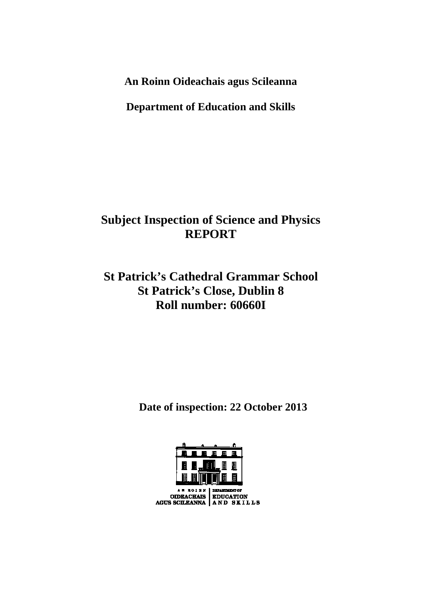**An Roinn Oideachais agus Scileanna** 

**Department of Education and Skills** 

# **Subject Inspection of Science and Physics REPORT**

# **St Patrick's Cathedral Grammar School St Patrick's Close, Dublin 8 Roll number: 60660I**

 **Date of inspection: 22 October 2013** 

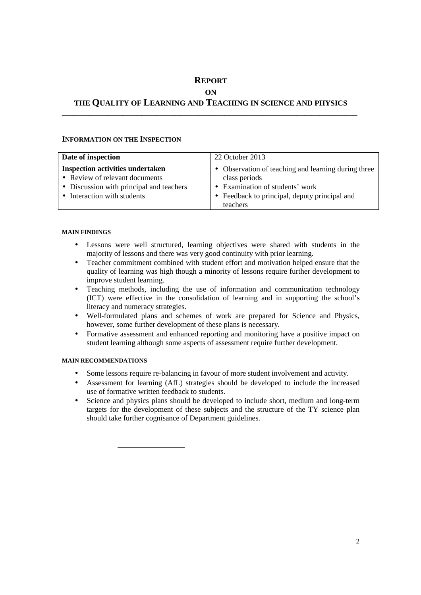# **REPORT**

# **ON**

## **THE QUALITY OF LEARNING AND TEACHING IN SCIENCE AND PHYSICS \_\_\_\_\_\_\_\_\_\_\_\_\_\_\_\_\_\_\_\_\_\_\_\_\_\_\_\_\_\_\_\_\_\_\_\_\_\_\_\_\_\_\_\_\_\_\_\_\_\_\_\_\_\_\_\_\_\_\_\_\_\_\_\_\_\_\_\_\_\_\_\_\_\_\_\_\_\_**

### **INFORMATION ON THE INSPECTION**

| Date of inspection                       | 22 October 2013                                     |
|------------------------------------------|-----------------------------------------------------|
| <b>Inspection activities undertaken</b>  | • Observation of teaching and learning during three |
| • Review of relevant documents           | class periods                                       |
| • Discussion with principal and teachers | • Examination of students' work                     |
| • Interaction with students              | • Feedback to principal, deputy principal and       |
|                                          | teachers                                            |

#### **MAIN FINDINGS**

- Lessons were well structured, learning objectives were shared with students in the majority of lessons and there was very good continuity with prior learning.
- Teacher commitment combined with student effort and motivation helped ensure that the quality of learning was high though a minority of lessons require further development to improve student learning.
- Teaching methods, including the use of information and communication technology (ICT) were effective in the consolidation of learning and in supporting the school's literacy and numeracy strategies.
- Well-formulated plans and schemes of work are prepared for Science and Physics, however, some further development of these plans is necessary.
- Formative assessment and enhanced reporting and monitoring have a positive impact on student learning although some aspects of assessment require further development.

### **MAIN RECOMMENDATIONS**

- Some lessons require re-balancing in favour of more student involvement and activity.
- Assessment for learning (AfL) strategies should be developed to include the increased use of formative written feedback to students.
- Science and physics plans should be developed to include short, medium and long-term targets for the development of these subjects and the structure of the TY science plan should take further cognisance of Department guidelines.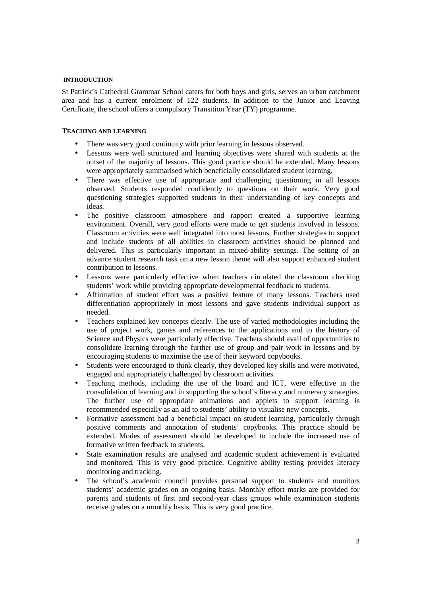#### **INTRODUCTION**

St Patrick's Cathedral Grammar School caters for both boys and girls, serves an urban catchment area and has a current enrolment of 122 students. In addition to the Junior and Leaving Certificate, the school offers a compulsory Transition Year (TY) programme.

#### **TEACHING AND LEARNING**

- There was very good continuity with prior learning in lessons observed.
- Lessons were well structured and learning objectives were shared with students at the outset of the majority of lessons. This good practice should be extended. Many lessons were appropriately summarised which beneficially consolidated student learning.
- There was effective use of appropriate and challenging questioning in all lessons observed. Students responded confidently to questions on their work. Very good questioning strategies supported students in their understanding of key concepts and ideas.
- The positive classroom atmosphere and rapport created a supportive learning environment. Overall, very good efforts were made to get students involved in lessons. Classroom activities were well integrated into most lessons. Further strategies to support and include students of all abilities in classroom activities should be planned and delivered. This is particularly important in mixed-ability settings. The setting of an advance student research task on a new lesson theme will also support enhanced student contribution to lessons.
- Lessons were particularly effective when teachers circulated the classroom checking students' work while providing appropriate developmental feedback to students.
- Affirmation of student effort was a positive feature of many lessons. Teachers used differentiation appropriately in most lessons and gave students individual support as needed.
- Teachers explained key concepts clearly. The use of varied methodologies including the use of project work, games and references to the applications and to the history of Science and Physics were particularly effective. Teachers should avail of opportunities to consolidate learning through the further use of group and pair work in lessons and by encouraging students to maximise the use of their keyword copybooks.
- Students were encouraged to think clearly, they developed key skills and were motivated, engaged and appropriately challenged by classroom activities.
- Teaching methods, including the use of the board and ICT, were effective in the consolidation of learning and in supporting the school's literacy and numeracy strategies. The further use of appropriate animations and applets to support learning is recommended especially as an aid to students' ability to visualise new concepts.
- Formative assessment had a beneficial impact on student learning, particularly through positive comments and annotation of students' copybooks. This practice should be extended. Modes of assessment should be developed to include the increased use of formative written feedback to students.
- State examination results are analysed and academic student achievement is evaluated and monitored. This is very good practice. Cognitive ability testing provides literacy monitoring and tracking.
- The school's academic council provides personal support to students and monitors students' academic grades on an ongoing basis. Monthly effort marks are provided for parents and students of first and second-year class groups while examination students receive grades on a monthly basis. This is very good practice.